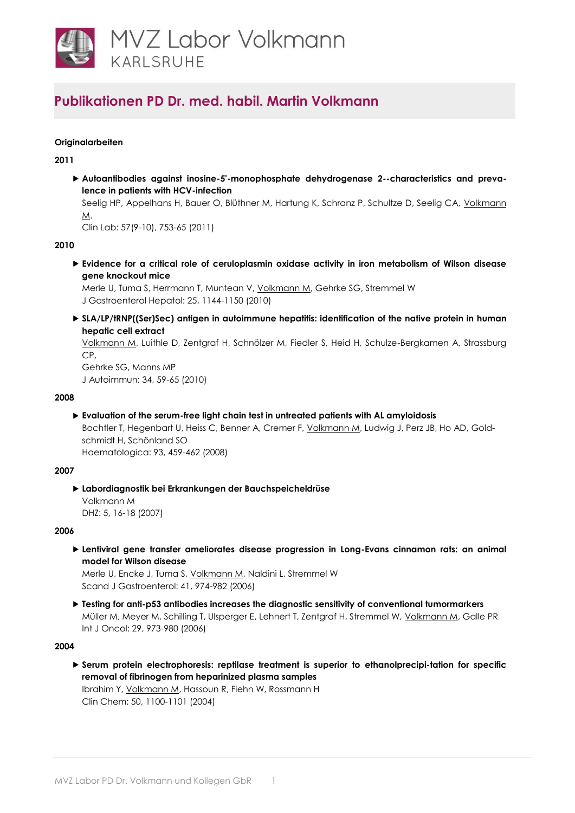

## **Originalarbeiten**

**2011**

 **Autoantibodies against inosine-5'-monophosphate dehydrogenase 2--characteristics and prevalence in patients with HCV-infection**

Seelig HP, Appelhans H, Bauer O, Blüthner M, Hartung K, Schranz P, Schultze D, Seelig CA, Volkmann [M.](http://www.ncbi.nlm.nih.gov/pubmed/22029192)

Clin Lab: 57(9-10), 753-65 (2011)

#### **2010**

 **[Evidence for a critical role of ceruloplasmin oxidase activity in iron metabolism of Wilson disease](http://www.ncbi.nlm.nih.gov/pubmed/20594231)  [gene knockout mice](http://www.ncbi.nlm.nih.gov/pubmed/20594231)**

Merle U, Tuma S, Herrmann T, Muntean V, [Volkmann M,](http://www.ncbi.nlm.nih.gov/pubmed/20594231) Gehrke SG, Stremmel W J Gastroenterol Hepatol: 25, 1144-1150 (2010)

▶ SLA/LP/tRNP((Ser)Sec) antigen in autoimmune hepatitis: identification of the native protein in human **[hepatic cell extract](http://www.ncbi.nlm.nih.gov/pubmed/19683415)**

[Volkmann M,](http://www.ncbi.nlm.nih.gov/pubmed/19683415) Luithle D, Zentgraf H, Schnölzer M, Fiedler S, Heid H, Schulze-Bergkamen A, Strassburg CP,

Gehrke SG, Manns MP J Autoimmun: 34, 59-65 (2010)

#### **2008**

**Evaluation of the serum-free light chain test in untreated patients with AL amyloidosis**

Bochtler T, Hegenbart U, Heiss C, Benner A, Cremer F, [Volkmann M,](http://www.ncbi.nlm.nih.gov/pubmed/18287137) Ludwig J, Perz JB, Ho AD, Goldschmidt H, Schönland SO Haematologica: 93, 459-462 (2008)

## **2007**

 **Labordiagnostik bei Erkrankungen der Bauchspeicheldrüse** Volkmann M DHZ: 5, 16-18 (2007)

## **2006**

 **Lentiviral gene transfer ameliorates disease progression in Long-Evans cinnamon rats: an animal model for Wilson disease**

Merle U, Encke J, Tuma S, [Volkmann M,](http://www.ncbi.nlm.nih.gov/pubmed/16803697) Naldini L, Stremmel W Scand J Gastroenterol: 41, 974-982 (2006)

 **Testing for anti-p53 antibodies increases the diagnostic sensitivity of conventional tumormarkers** Müller M, Meyer M, Schilling T, Ulsperger E, Lehnert T, Zentgraf H, Stremmel W, [Volkmann M,](http://www.ncbi.nlm.nih.gov/pubmed/16964393) Galle PR Int J Oncol: 29, 973-980 (2006)

#### **2004**

 **[Serum protein electrophoresis: reptilase treatment is superior to ethanolprecipi-tation for specific](http://www.ncbi.nlm.nih.gov/pubmed/15161736)  [removal of fibrinogen from heparinized plasma samples](http://www.ncbi.nlm.nih.gov/pubmed/15161736)**

Ibrahim Y[, Volkmann M,](http://www.ncbi.nlm.nih.gov/pubmed/15161736) Hassoun R, Fiehn W, Rossmann H Clin Chem: 50, 1100-1101 (2004)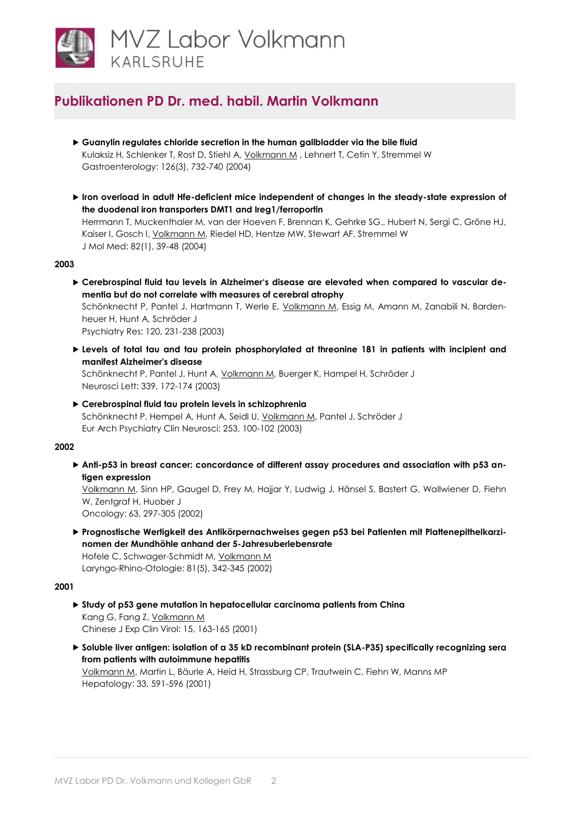

- **Guanylin regulates chloride secretion in the human gallbladder via the bile fluid** Kulaksiz H, Schlenker T, Rost D, Stiehl A, [Volkmann M](http://www.ncbi.nlm.nih.gov/pubmed/14988827), Lehnert T, Cetin Y, Stremmel W Gastroenterology: 126(3), 732-740 (2004)
- **Iron overload in adult Hfe-deficient mice independent of changes in the steady-state expression of the duodenal iron transporters DMT1 and Ireg1/ferroportin**

Herrmann T, Muckenthaler M, van der Hoeven F, Brennan K, Gehrke SG., Hubert N, Sergi C, Gröne HJ, Kaiser I, Gosch I, [Volkmann M,](http://www.ncbi.nlm.nih.gov/pubmed/14618243) Riedel HD, Hentze MW, Stewart AF, Stremmel W J Mol Med: 82(1), 39-48 (2004)

## **2003**

 **Cerebrospinal fluid tau levels in Alzheimer's disease are elevated when compared to vascular dementia but do not correlate with measures of cerebral atrophy**

Schönknecht P, Pantel J, Hartmann T, Werle E, [Volkmann M,](http://www.ncbi.nlm.nih.gov/pubmed/14561434) Essig M, Amann M, Zanabili N, Bardenheuer H, Hunt A, Schröder J

Psychiatry Res: 120, 231-238 (2003)

 **Levels of total tau and tau protein phosphorylated at threonine 181 in patients with incipient and manifest Alzheimer's disease**

Schönknecht P, Pantel J, Hunt A, [Volkmann M,](http://www.ncbi.nlm.nih.gov/pubmed/12614922) Buerger K, Hampel H, Schröder J Neurosci Lett: 339, 172-174 (2003)

 **Cerebrospinal fluid tau protein levels in schizophrenia** Schönknecht P, Hempel A, Hunt A, Seidl U, [Volkmann M,](http://www.ncbi.nlm.nih.gov/pubmed/12799749) Pantel J, Schröder J Eur Arch Psychiatry Clin Neurosci: 253, 100-102 (2003)

## **2002**

 **Anti-p53 in breast cancer: concordance of different assay procedures and association with p53 antigen expression**

[Volkmann M,](http://www.ncbi.nlm.nih.gov/pubmed/12381910) Sinn HP, Gaugel D, Frey M, Hajjar Y, Ludwig J, Hänsel S, Bastert G, Wallwiener D, Fiehn W, Zentaraf H, Huober J

Oncology: 63, 297-305 (2002)

 **Prognostische Wertigkeit des Antikörpernachweises gegen p53 bei Patienten mit Plattenepithelkarzinomen der Mundhöhle anhand der 5-Jahresuberlebensrate**

Hofele C, Schwager-Schmidt M, [Volkmann M](http://www.ncbi.nlm.nih.gov/pubmed/12001023) Laryngo-Rhino-Otologie: 81(5), 342-345 (2002)

## **2001**

 **Study of p53 gene mutation in hepatocellular carcinoma patients from China** Kang G, Fang Z, [Volkmann M](http://www.ncbi.nlm.nih.gov/pubmed/11436649) Chinese J Exp Clin Virol: 15, 163-165 (2001)

 **Soluble liver antigen: isolation of a 35 kD recombinant protein (SLA-P35) specifically recognizing sera from patients with autoimmune hepatitis** [Volkmann M,](http://www.ncbi.nlm.nih.gov/pubmed/11230739) Martin L, Bäurle A, Heid H, Strassburg CP, Trautwein C, Fiehn W, Manns MP Hepatology: 33, 591-596 (2001)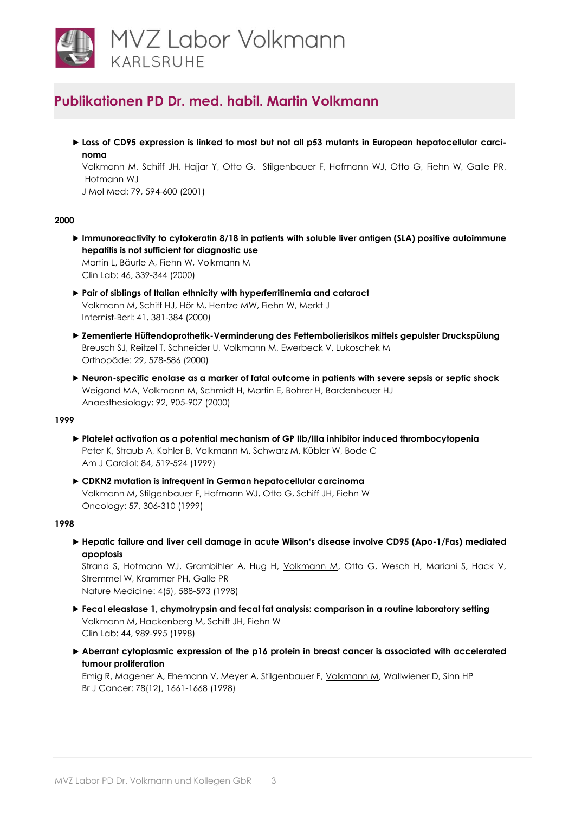

► Loss of CD95 expression is linked to most but not all p53 mutants in European hepatocellular carci**noma**

[Volkmann M,](http://www.ncbi.nlm.nih.gov/pubmed/11692157) Schiff JH, Hajjar Y, Otto G, Stilgenbauer F, Hofmann WJ, Otto G, Fiehn W, Galle PR, Hofmann WJ

J Mol Med: 79, 594-600 (2001)

## **2000**

- **Immunoreactivity to cytokeratin 8/18 in patients with soluble liver antigen (SLA) positive autoimmune hepatitis is not sufficient for diagnostic use** Martin L, Bäurle A, Fiehn W, [Volkmann M](http://www.ncbi.nlm.nih.gov/pubmed/10934580) Clin Lab: 46, 339-344 (2000)
- **Pair of siblings of Italian ethnicity with hyperferritinemia and cataract** [Volkmann M,](http://www.ncbi.nlm.nih.gov/pubmed/10798187) Schiff HJ, Hör M, Hentze MW, Fiehn W, Merkt J Internist-Berl: 41, 381-384 (2000)
- **Zementierte Hüftendoprothetik-Verminderung des Fettembolierisikos mittels gepulster Druckspülung** Breusch SJ, Reitzel T, Schneider U, [Volkmann M,](http://www.ncbi.nlm.nih.gov/pubmed/10929338) Ewerbeck V, Lukoschek M Orthopäde: 29, 578-586 (2000)
- **Neuron-specific enolase as a marker of fatal outcome in patients with severe sepsis or septic shock** Weigand MA, *Volkmann M*, Schmidt H, Martin E, Bohrer H, Bardenheuer HJ Anaesthesiology: 92, 905-907 (2000)

## **1999**

- **Platelet activation as a potential mechanism of GP IIb/IIIa inhibitor induced thrombocytopenia** Peter K, Straub A, Kohler B, [Volkmann M,](http://www.ncbi.nlm.nih.gov/pubmed/10482148) Schwarz M, Kübler W, Bode C Am J Cardiol: 84, 519-524 (1999)
- **CDKN2 mutation is infrequent in German hepatocellular carcinoma** [Volkmann M,](http://www.ncbi.nlm.nih.gov/pubmed/10575317) Stilgenbauer F, Hofmann WJ, Otto G, Schiff JH, Fiehn W Oncology: 57, 306-310 (1999)

#### **1998**

 **Hepatic failure and liver cell damage in acute Wilson's disease involve CD95 (Apo-1/Fas) mediated apoptosis**

Strand S, Hofmann WJ, Grambihler A, Hug H, *Volkmann M*, Otto G, Wesch H, Mariani S, Hack V, Stremmel W, Krammer PH, Galle PR Nature Medicine: 4(5), 588-593 (1998)

- **Fecal eleastase 1, chymotrypsin and fecal fat analysis: comparison in a routine laboratory setting** Volkmann M, Hackenberg M, Schiff JH, Fiehn W Clin Lab: 44, 989-995 (1998)
- **Aberrant cytoplasmic expression of the p16 protein in breast cancer is associated with accelerated tumour proliferation**

Emig R, Magener A, Ehemann V, Meyer A, Stilgenbauer F, [Volkmann M,](http://www.ncbi.nlm.nih.gov/pubmed/9862580) Wallwiener D, Sinn HP Br J Cancer: 78(12), 1661-1668 (1998)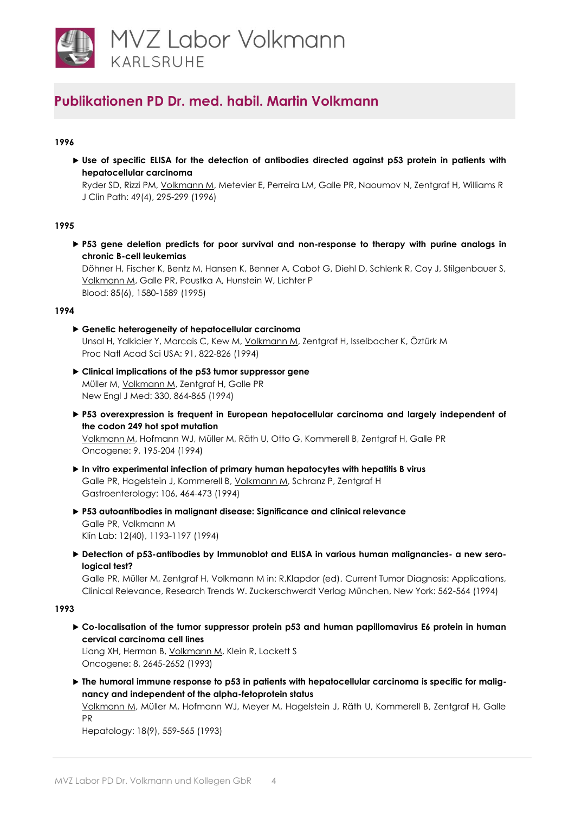

## **1996**

 **Use of specific ELISA for the detection of antibodies directed against p53 protein in patients with hepatocellular carcinoma**

Ryder SD, Rizzi PM, [Volkmann M,](http://www.ncbi.nlm.nih.gov/pubmed/8655704) Metevier E, Perreira LM, Galle PR, Naoumov N, Zentgraf H, Williams R J Clin Path: 49(4), 295-299 (1996)

#### **1995**

 **P53 gene deletion predicts for poor survival and non-response to therapy with purine analogs in chronic B-cell leukemias**

Döhner H, Fischer K, Bentz M, Hansen K, Benner A, Cabot G, Diehl D, Schlenk R, Coy J, Stilgenbauer S, [Volkmann M,](http://www.ncbi.nlm.nih.gov/pubmed/7888675) Galle PR, Poustka A, Hunstein W, Lichter P Blood: 85(6), 1580-1589 (1995)

#### **1994**

- **Genetic heterogeneity of hepatocellular carcinoma** Unsal H, Yalkicier Y, Marcais C, Kew M, [Volkmann M,](http://www.ncbi.nlm.nih.gov/pubmed/8290606) Zentgraf H, Isselbacher K, Öztürk M Proc Natl Acad Sci USA: 91, 822-826 (1994)
- **Clinical implications of the p53 tumor suppressor gene** Müller M[, Volkmann M,](http://www.ncbi.nlm.nih.gov/pubmed/8166834) Zentgraf H, Galle PR New Engl J Med: 330, 864-865 (1994)
- **P53 overexpression is frequent in European hepatocellular carcinoma and largely independent of the codon 249 hot spot mutation** [Volkmann M,](http://www.ncbi.nlm.nih.gov/pubmed/8302580) Hofmann WJ, Müller M, Räth U, Otto G, Kommerell B, Zentgraf H, Galle PR Oncogene: 9, 195-204 (1994)
- **In vitro experimental infection of primary human hepatocytes with hepatitis B virus** Galle PR, Hagelstein J, Kommerell B, [Volkmann M,](http://www.ncbi.nlm.nih.gov/pubmed/8119538) Schranz P, Zentgraf H Gastroenterology: 106, 464-473 (1994)
- **P53 autoantibodies in malignant disease: Significance and clinical relevance** Galle PR, Volkmann M Klin Lab: 12(40), 1193-1197 (1994)
- **Detection of p53-antibodies by Immunoblot and ELISA in various human malignancies- a new serological test?**

Galle PR, Müller M, Zentgraf H, Volkmann M in: R.Klapdor (ed). Current Tumor Diagnosis: Applications, Clinical Relevance, Research Trends W. Zuckerschwerdt Verlag München, New York: 562-564 (1994)

#### **1993**

 **Co-localisation of the tumor suppressor protein p53 and human papillomavirus E6 protein in human cervical carcinoma cell lines**

Liang XH, Herman B, [Volkmann M,](http://www.ncbi.nlm.nih.gov/pubmed/8397367) Klein R, Lockett S Oncogene: 8, 2645-2652 (1993)

▶ The humoral immune response to p53 in patients with hepatocellular carcinoma is specific for malig**nancy and independent of the alpha-fetoprotein status**

[Volkmann M,](http://www.ncbi.nlm.nih.gov/pubmed/7689531) Müller M, Hofmann WJ, Meyer M, Hagelstein J, Räth U, Kommerell B, Zentgraf H, Galle PR

Hepatology: 18(9), 559-565 (1993)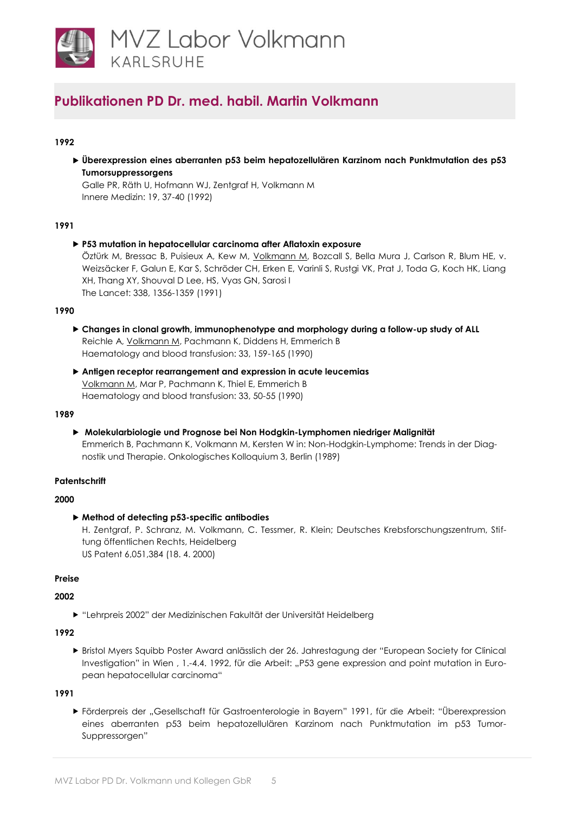

## **1992**

 **Überexpression eines aberranten p53 beim hepatozellulären Karzinom nach Punktmutation des p53 Tumorsuppressorgens**

Galle PR, Räth U, Hofmann WJ, Zentgraf H, Volkmann M Innere Medizin: 19, 37-40 (1992)

## **1991**

 **P53 mutation in hepatocellular carcinoma after Aflatoxin exposure** Öztürk M, Bressac B, Puisieux A, Kew M, [Volkmann M,](http://www.ncbi.nlm.nih.gov/pubmed/1682737) Bozcall S, Bella Mura J, Carlson R, Blum HE, v. Weizsäcker F, Galun E, Kar S, Schröder CH, Erken E, Varinli S, Rustgi VK, Prat J, Toda G, Koch HK, Liang XH, Thang XY, Shouval D Lee, HS, Vyas GN, Sarosi I

The Lancet: 338, 1356-1359 (1991)

#### **1990**

- **Changes in clonal growth, immunophenotype and morphology during a follow-up study of ALL** Reichle A, [Volkmann M,](http://www.ncbi.nlm.nih.gov/pubmed/2157643) Pachmann K, Diddens H, Emmerich B Haematology and blood transfusion: 33, 159-165 (1990)
- **Antigen receptor rearrangement and expression in acute leucemias** [Volkmann M,](http://www.ncbi.nlm.nih.gov/pubmed/2157644) Mar P, Pachmann K, Thiel E, Emmerich B Haematology and blood transfusion: 33, 50-55 (1990)

## **1989**

 **Molekularbiologie und Prognose bei Non Hodgkin-Lymphomen niedriger Malignität** Emmerich B, Pachmann K, Volkmann M, Kersten W in: Non-Hodgkin-Lymphome: Trends in der Diagnostik und Therapie. Onkologisches Kolloquium 3, Berlin (1989)

## **Patentschrift**

## **2000**

**Method of detecting p53-specific antibodies**

H. Zentgraf, P. Schranz, M. Volkmann, C. Tessmer, R. Klein; Deutsches Krebsforschungszentrum, Stiftung öffentlichen Rechts, Heidelberg US Patent 6,051,384 (18. 4. 2000)

## **Preise**

## **2002**

"Lehrpreis 2002" der Medizinischen Fakultät der Universität Heidelberg

## **1992**

 Bristol Myers Squibb Poster Award anlässlich der 26. Jahrestagung der "European Society for Clinical Investigation" in Wien , 1.-4.4. 1992, für die Arbeit: "P53 gene expression and point mutation in European hepatocellular carcinoma"

## **1991**

 Förderpreis der "Gesellschaft für Gastroenterologie in Bayern" 1991, für die Arbeit: "Überexpression eines aberranten p53 beim hepatozellulären Karzinom nach Punktmutation im p53 Tumor-Suppressorgen"